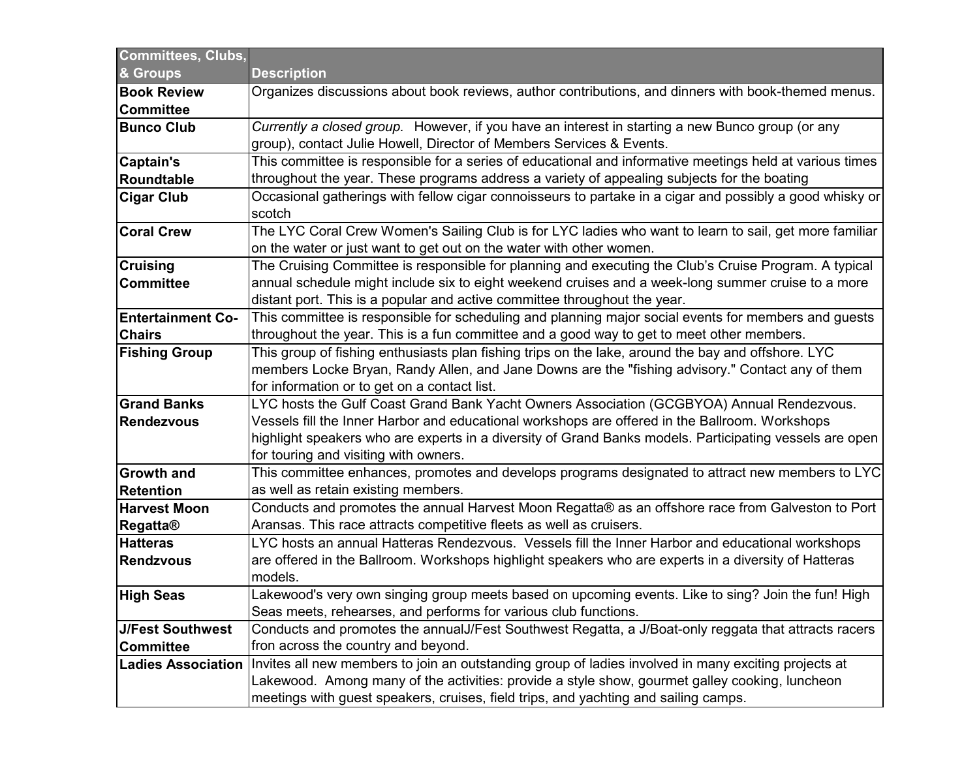| <b>Committees, Clubs,</b> |                                                                                                          |
|---------------------------|----------------------------------------------------------------------------------------------------------|
| & Groups                  | <b>Description</b>                                                                                       |
| <b>Book Review</b>        | Organizes discussions about book reviews, author contributions, and dinners with book-themed menus.      |
| <b>Committee</b>          |                                                                                                          |
| <b>Bunco Club</b>         | Currently a closed group. However, if you have an interest in starting a new Bunco group (or any         |
|                           | group), contact Julie Howell, Director of Members Services & Events.                                     |
| Captain's                 | This committee is responsible for a series of educational and informative meetings held at various times |
| <b>Roundtable</b>         | throughout the year. These programs address a variety of appealing subjects for the boating              |
| <b>Cigar Club</b>         | Occasional gatherings with fellow cigar connoisseurs to partake in a cigar and possibly a good whisky or |
|                           | scotch                                                                                                   |
| <b>Coral Crew</b>         | The LYC Coral Crew Women's Sailing Club is for LYC ladies who want to learn to sail, get more familiar   |
|                           | on the water or just want to get out on the water with other women.                                      |
| <b>Cruising</b>           | The Cruising Committee is responsible for planning and executing the Club's Cruise Program. A typical    |
| <b>Committee</b>          | annual schedule might include six to eight weekend cruises and a week-long summer cruise to a more       |
|                           | distant port. This is a popular and active committee throughout the year.                                |
| <b>Entertainment Co-</b>  | This committee is responsible for scheduling and planning major social events for members and guests     |
| <b>Chairs</b>             | throughout the year. This is a fun committee and a good way to get to meet other members.                |
| <b>Fishing Group</b>      | This group of fishing enthusiasts plan fishing trips on the lake, around the bay and offshore. LYC       |
|                           | members Locke Bryan, Randy Allen, and Jane Downs are the "fishing advisory." Contact any of them         |
|                           | for information or to get on a contact list.                                                             |
| <b>Grand Banks</b>        | LYC hosts the Gulf Coast Grand Bank Yacht Owners Association (GCGBYOA) Annual Rendezvous.                |
| <b>Rendezvous</b>         | Vessels fill the Inner Harbor and educational workshops are offered in the Ballroom. Workshops           |
|                           | highlight speakers who are experts in a diversity of Grand Banks models. Participating vessels are open  |
|                           | for touring and visiting with owners.                                                                    |
| <b>Growth and</b>         | This committee enhances, promotes and develops programs designated to attract new members to LYC         |
| <b>Retention</b>          | as well as retain existing members.                                                                      |
| <b>Harvest Moon</b>       | Conducts and promotes the annual Harvest Moon Regatta® as an offshore race from Galveston to Port        |
| <b>Regatta®</b>           | Aransas. This race attracts competitive fleets as well as cruisers.                                      |
| <b>Hatteras</b>           | LYC hosts an annual Hatteras Rendezvous. Vessels fill the Inner Harbor and educational workshops         |
| <b>Rendzvous</b>          | are offered in the Ballroom. Workshops highlight speakers who are experts in a diversity of Hatteras     |
|                           | models.                                                                                                  |
| <b>High Seas</b>          | Lakewood's very own singing group meets based on upcoming events. Like to sing? Join the fun! High       |
|                           | Seas meets, rehearses, and performs for various club functions.                                          |
| <b>J/Fest Southwest</b>   | Conducts and promotes the annualJ/Fest Southwest Regatta, a J/Boat-only reggata that attracts racers     |
| <b>Committee</b>          | fron across the country and beyond.                                                                      |
| <b>Ladies Association</b> | Invites all new members to join an outstanding group of ladies involved in many exciting projects at     |
|                           | Lakewood. Among many of the activities: provide a style show, gourmet galley cooking, luncheon           |
|                           | meetings with guest speakers, cruises, field trips, and yachting and sailing camps.                      |